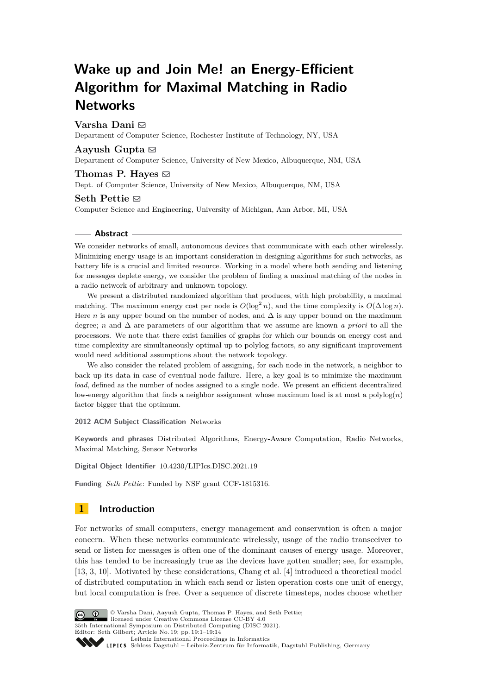# **Wake up and Join Me! an Energy-Efficient Algorithm for Maximal Matching in Radio Networks**

**Varsha Dani** ⊠

Department of Computer Science, Rochester Institute of Technology, NY, USA

## Aayush Gupta  $\boxdot$

Department of Computer Science, University of New Mexico, Albuquerque, NM, USA

# Thomas P. Hayes  $\boxtimes$ Dept. of Computer Science, University of New Mexico, Albuquerque, NM, USA

### **Seth Pettie** ⊠

Computer Science and Engineering, University of Michigan, Ann Arbor, MI, USA

#### **Abstract**

We consider networks of small, autonomous devices that communicate with each other wirelessly. Minimizing energy usage is an important consideration in designing algorithms for such networks, as battery life is a crucial and limited resource. Working in a model where both sending and listening for messages deplete energy, we consider the problem of finding a maximal matching of the nodes in a radio network of arbitrary and unknown topology.

We present a distributed randomized algorithm that produces, with high probability, a maximal matching. The maximum energy cost per node is  $O(\log^2 n)$ , and the time complexity is  $O(\Delta \log n)$ . Here *n* is any upper bound on the number of nodes, and  $\Delta$  is any upper bound on the maximum degree; *n* and ∆ are parameters of our algorithm that we assume are known *a priori* to all the processors. We note that there exist families of graphs for which our bounds on energy cost and time complexity are simultaneously optimal up to polylog factors, so any significant improvement would need additional assumptions about the network topology.

We also consider the related problem of assigning, for each node in the network, a neighbor to back up its data in case of eventual node failure. Here, a key goal is to minimize the maximum *load*, defined as the number of nodes assigned to a single node. We present an efficient decentralized low-energy algorithm that finds a neighbor assignment whose maximum load is at most a polylog(*n*) factor bigger that the optimum.

**2012 ACM Subject Classification** Networks

**Keywords and phrases** Distributed Algorithms, Energy-Aware Computation, Radio Networks, Maximal Matching, Sensor Networks

**Digital Object Identifier** [10.4230/LIPIcs.DISC.2021.19](https://doi.org/10.4230/LIPIcs.DISC.2021.19)

**Funding** *Seth Pettie*: Funded by NSF grant CCF-1815316.

# **1 Introduction**

For networks of small computers, energy management and conservation is often a major concern. When these networks communicate wirelessly, usage of the radio transceiver to send or listen for messages is often one of the dominant causes of energy usage. Moreover, this has tended to be increasingly true as the devices have gotten smaller; see, for example, [\[13,](#page-13-0) [3,](#page-13-1) [10\]](#page-13-2). Motivated by these considerations, Chang et al. [\[4\]](#page-13-3) introduced a theoretical model of distributed computation in which each send or listen operation costs one unit of energy, but local computation is free. Over a sequence of discrete timesteps, nodes choose whether



© Varsha Dani, Aayush Gupta, Thomas P. Hayes, and Seth Pettie; licensed under Creative Commons License CC-BY 4.0 35th International Symposium on Distributed Computing (DISC 2021). Editor: Seth Gilbert; Article No. 19; pp. 19:1–19:14

[Leibniz International Proceedings in Informatics](https://www.dagstuhl.de/lipics/) Leibniz International Froceedings in Informatik, Dagstuhl Publishing, Germany<br>LIPICS [Schloss Dagstuhl – Leibniz-Zentrum für Informatik, Dagstuhl Publishing, Germany](https://www.dagstuhl.de)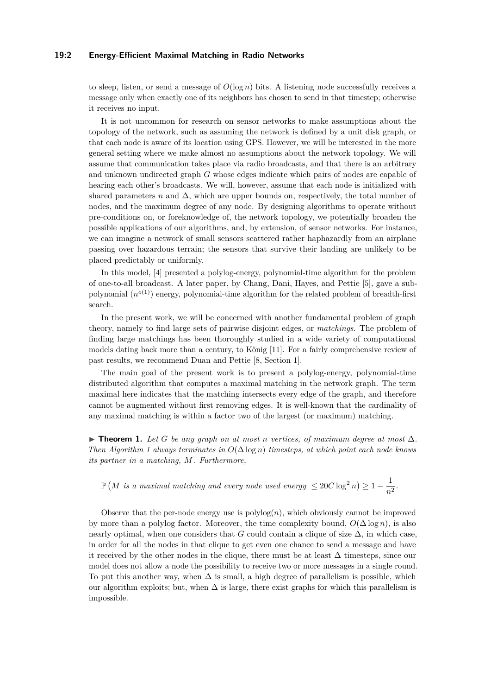### **19:2 Energy-Efficient Maximal Matching in Radio Networks**

to sleep, listen, or send a message of  $O(\log n)$  bits. A listening node successfully receives a message only when exactly one of its neighbors has chosen to send in that timestep; otherwise it receives no input.

It is not uncommon for research on sensor networks to make assumptions about the topology of the network, such as assuming the network is defined by a unit disk graph, or that each node is aware of its location using GPS. However, we will be interested in the more general setting where we make almost no assumptions about the network topology. We will assume that communication takes place via radio broadcasts, and that there is an arbitrary and unknown undirected graph *G* whose edges indicate which pairs of nodes are capable of hearing each other's broadcasts. We will, however, assume that each node is initialized with shared parameters *n* and  $\Delta$ , which are upper bounds on, respectively, the total number of nodes, and the maximum degree of any node. By designing algorithms to operate without pre-conditions on, or foreknowledge of, the network topology, we potentially broaden the possible applications of our algorithms, and, by extension, of sensor networks. For instance, we can imagine a network of small sensors scattered rather haphazardly from an airplane passing over hazardous terrain; the sensors that survive their landing are unlikely to be placed predictably or uniformly.

In this model, [\[4\]](#page-13-3) presented a polylog-energy, polynomial-time algorithm for the problem of one-to-all broadcast. A later paper, by Chang, Dani, Hayes, and Pettie [\[5\]](#page-13-4), gave a subpolynomial  $(n^{o(1)})$  energy, polynomial-time algorithm for the related problem of breadth-first search.

In the present work, we will be concerned with another fundamental problem of graph theory, namely to find large sets of pairwise disjoint edges, or *matchings*. The problem of finding large matchings has been thoroughly studied in a wide variety of computational models dating back more than a century, to König [\[11\]](#page-13-5). For a fairly comprehensive review of past results, we recommend Duan and Pettie [\[8,](#page-13-6) Section 1].

The main goal of the present work is to present a polylog-energy, polynomial-time distributed algorithm that computes a maximal matching in the network graph. The term maximal here indicates that the matching intersects every edge of the graph, and therefore cannot be augmented without first removing edges. It is well-known that the cardinality of any maximal matching is within a factor two of the largest (or maximum) matching.

<span id="page-1-0"></span>▶ **Theorem 1.** Let G be any graph on at most n vertices, of maximum degree at most  $\Delta$ . *Then Algorithm [1](#page-5-0) always terminates in O*(∆ log *n*) *timesteps, at which point each node knows its partner in a matching, M. Furthermore,*

 $\mathbb{P}\left(M\,\,is\,\,a\,\,maximal\,\,matching\,\,and\,\,every\,\,node\,\,used\,\,energy\,\leq 20C\log^2n\right)\geq 1-\frac{1}{2}.$  $\frac{1}{n^2}$ .

Observe that the per-node energy use is  $polylog(n)$ , which obviously cannot be improved by more than a polylog factor. Moreover, the time complexity bound,  $O(\Delta \log n)$ , is also nearly optimal, when one considers that *G* could contain a clique of size  $\Delta$ , in which case, in order for all the nodes in that clique to get even one chance to send a message and have it received by the other nodes in the clique, there must be at least  $\Delta$  timesteps, since our model does not allow a node the possibility to receive two or more messages in a single round. To put this another way, when  $\Delta$  is small, a high degree of parallelism is possible, which our algorithm exploits; but, when  $\Delta$  is large, there exist graphs for which this parallelism is impossible.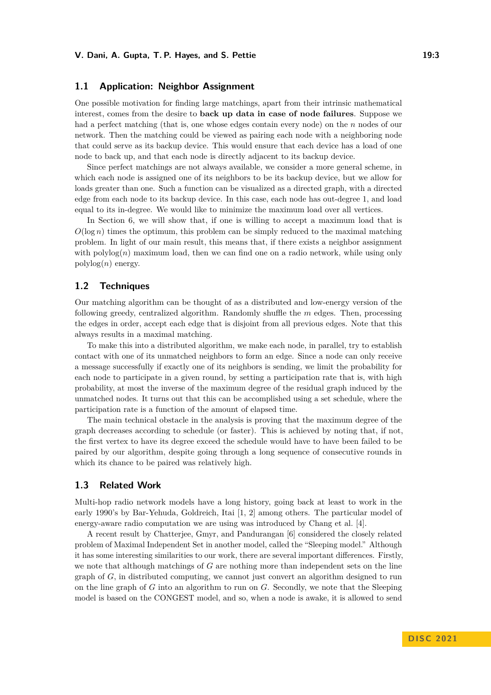## **1.1 Application: Neighbor Assignment**

One possible motivation for finding large matchings, apart from their intrinsic mathematical interest, comes from the desire to **back up data in case of node failures**. Suppose we had a perfect matching (that is, one whose edges contain every node) on the *n* nodes of our network. Then the matching could be viewed as pairing each node with a neighboring node that could serve as its backup device. This would ensure that each device has a load of one node to back up, and that each node is directly adjacent to its backup device.

Since perfect matchings are not always available, we consider a more general scheme, in which each node is assigned one of its neighbors to be its backup device, but we allow for loads greater than one. Such a function can be visualized as a directed graph, with a directed edge from each node to its backup device. In this case, each node has out-degree 1, and load equal to its in-degree. We would like to minimize the maximum load over all vertices.

In Section [6,](#page-10-0) we will show that, if one is willing to accept a maximum load that is  $O(\log n)$  times the optimum, this problem can be simply reduced to the maximal matching problem. In light of our main result, this means that, if there exists a neighbor assignment with  $\text{polylog}(n)$  maximum load, then we can find one on a radio network, while using only polylog(*n*) energy.

# **1.2 Techniques**

Our matching algorithm can be thought of as a distributed and low-energy version of the following greedy, centralized algorithm. Randomly shuffle the *m* edges. Then, processing the edges in order, accept each edge that is disjoint from all previous edges. Note that this always results in a maximal matching.

To make this into a distributed algorithm, we make each node, in parallel, try to establish contact with one of its unmatched neighbors to form an edge. Since a node can only receive a message successfully if exactly one of its neighbors is sending, we limit the probability for each node to participate in a given round, by setting a participation rate that is, with high probability, at most the inverse of the maximum degree of the residual graph induced by the unmatched nodes. It turns out that this can be accomplished using a set schedule, where the participation rate is a function of the amount of elapsed time.

The main technical obstacle in the analysis is proving that the maximum degree of the graph decreases according to schedule (or faster). This is achieved by noting that, if not, the first vertex to have its degree exceed the schedule would have to have been failed to be paired by our algorithm, despite going through a long sequence of consecutive rounds in which its chance to be paired was relatively high.

### **1.3 Related Work**

Multi-hop radio network models have a long history, going back at least to work in the early 1990's by Bar-Yehuda, Goldreich, Itai [\[1,](#page-13-7) [2\]](#page-13-8) among others. The particular model of energy-aware radio computation we are using was introduced by Chang et al. [\[4\]](#page-13-3).

A recent result by Chatterjee, Gmyr, and Pandurangan [\[6\]](#page-13-9) considered the closely related problem of Maximal Independent Set in another model, called the "Sleeping model." Although it has some interesting similarities to our work, there are several important differences. Firstly, we note that although matchings of *G* are nothing more than independent sets on the line graph of *G*, in distributed computing, we cannot just convert an algorithm designed to run on the line graph of *G* into an algorithm to run on *G*. Secondly, we note that the Sleeping model is based on the CONGEST model, and so, when a node is awake, it is allowed to send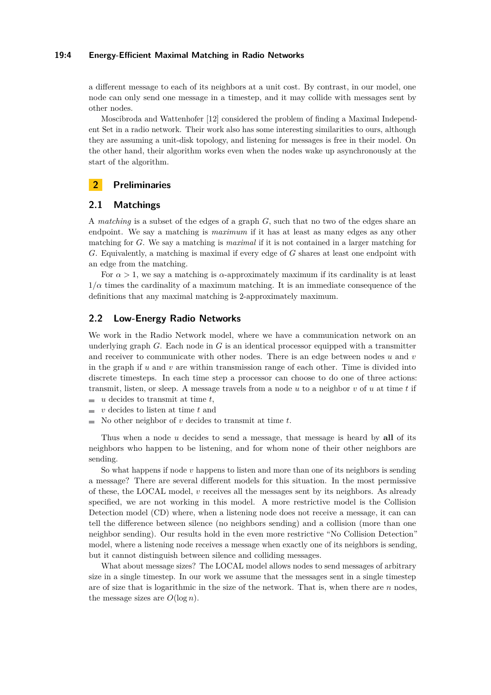### **19:4 Energy-Efficient Maximal Matching in Radio Networks**

a different message to each of its neighbors at a unit cost. By contrast, in our model, one node can only send one message in a timestep, and it may collide with messages sent by other nodes.

Moscibroda and Wattenhofer [\[12\]](#page-13-10) considered the problem of finding a Maximal Independent Set in a radio network. Their work also has some interesting similarities to ours, although they are assuming a unit-disk topology, and listening for messages is free in their model. On the other hand, their algorithm works even when the nodes wake up asynchronously at the start of the algorithm.

# **2 Preliminaries**

# **2.1 Matchings**

A *matching* is a subset of the edges of a graph *G*, such that no two of the edges share an endpoint. We say a matching is *maximum* if it has at least as many edges as any other matching for *G*. We say a matching is *maximal* if it is not contained in a larger matching for *G*. Equivalently, a matching is maximal if every edge of *G* shares at least one endpoint with an edge from the matching.

For  $\alpha > 1$ , we say a matching is  $\alpha$ -approximately maximum if its cardinality is at least  $1/\alpha$  times the cardinality of a maximum matching. It is an immediate consequence of the definitions that any maximal matching is 2-approximately maximum.

### **2.2 Low-Energy Radio Networks**

We work in the Radio Network model, where we have a communication network on an underlying graph *G*. Each node in *G* is an identical processor equipped with a transmitter and receiver to communicate with other nodes. There is an edge between nodes *u* and *v* in the graph if  $u$  and  $v$  are within transmission range of each other. Time is divided into discrete timesteps. In each time step a processor can choose to do one of three actions: transmit, listen, or sleep. A message travels from a node *u* to a neighbor *v* of *u* at time *t* if

- $\blacksquare$  *u* decides to transmit at time *t*,
- $\bullet$  *v* decides to listen at time *t* and
- $\blacksquare$  No other neighbor of *v* decides to transmit at time *t*.

Thus when a node *u* decides to send a message, that message is heard by **all** of its neighbors who happen to be listening, and for whom none of their other neighbors are sending.

So what happens if node *v* happens to listen and more than one of its neighbors is sending a message? There are several different models for this situation. In the most permissive of these, the LOCAL model, *v* receives all the messages sent by its neighbors. As already specified, we are not working in this model. A more restrictive model is the Collision Detection model (CD) where, when a listening node does not receive a message, it can can tell the difference between silence (no neighbors sending) and a collision (more than one neighbor sending). Our results hold in the even more restrictive "No Collision Detection" model, where a listening node receives a message when exactly one of its neighbors is sending, but it cannot distinguish between silence and colliding messages.

What about message sizes? The LOCAL model allows nodes to send messages of arbitrary size in a single timestep. In our work we assume that the messages sent in a single timestep are of size that is logarithmic in the size of the network. That is, when there are *n* nodes, the message sizes are  $O(\log n)$ .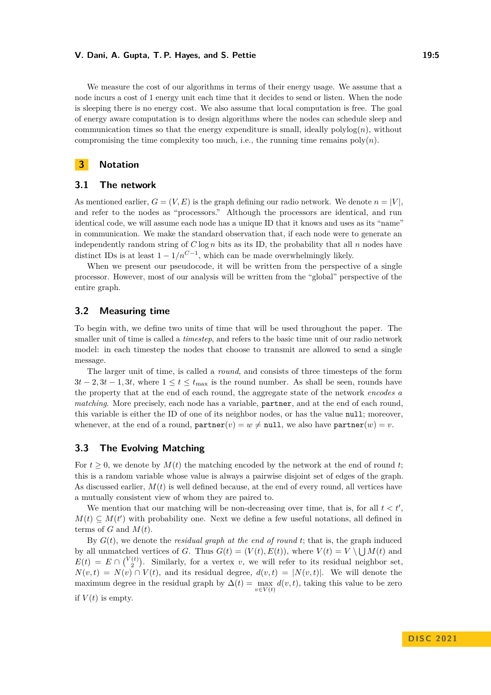#### **V. Dani, A. Gupta, T. P. Hayes, and S. Pettie 19:5** 19:5

We measure the cost of our algorithms in terms of their energy usage. We assume that a node incurs a cost of 1 energy unit each time that it decides to send or listen. When the node is sleeping there is no energy cost. We also assume that local computation is free. The goal of energy aware computation is to design algorithms where the nodes can schedule sleep and communication times so that the energy expenditure is small, ideally  $\text{polylog}(n)$ , without compromising the time complexity too much, i.e., the running time remains  $poly(n)$ .

### **3 Notation**

### **3.1 The network**

As mentioned earlier,  $G = (V, E)$  is the graph defining our radio network. We denote  $n = |V|$ , and refer to the nodes as "processors." Although the processors are identical, and run identical code, we will assume each node has a unique ID that it knows and uses as its "name" in communication. We make the standard observation that, if each node were to generate an independently random string of  $C \log n$  bits as its ID, the probability that all  $n$  nodes have distinct IDs is at least  $1 - 1/n^{C-1}$ , which can be made overwhelmingly likely.

When we present our pseudocode, it will be written from the perspective of a single processor. However, most of our analysis will be written from the "global" perspective of the entire graph.

# **3.2 Measuring time**

To begin with, we define two units of time that will be used throughout the paper. The smaller unit of time is called a *timestep*, and refers to the basic time unit of our radio network model: in each timestep the nodes that choose to transmit are allowed to send a single message.

The larger unit of time, is called a *round*, and consists of three timesteps of the form  $3t - 2, 3t - 1, 3t$ , where  $1 \le t \le t_{\text{max}}$  is the round number. As shall be seen, rounds have the property that at the end of each round, the aggregate state of the network *encodes a matching*. More precisely, each node has a variable, **partner**, and at the end of each round. this variable is either the ID of one of its neighbor nodes, or has the value null; moreover, whenever, at the end of a round,  $\text{partner}(v) = w \neq \text{null}$ , we also have  $\text{partner}(w) = v$ .

# **3.3 The Evolving Matching**

For  $t \geq 0$ , we denote by  $M(t)$  the matching encoded by the network at the end of round t; this is a random variable whose value is always a pairwise disjoint set of edges of the graph. As discussed earlier, *M*(*t*) is well defined because, at the end of every round, all vertices have a mutually consistent view of whom they are paired to.

We mention that our matching will be non-decreasing over time, that is, for all  $t < t'$ ,  $M(t) \subseteq M(t')$  with probability one. Next we define a few useful notations, all defined in terms of  $G$  and  $M(t)$ .

By *G*(*t*), we denote the *residual graph at the end of round t*; that is, the graph induced by all unmatched vertices of *G*. Thus  $G(t) = (V(t), E(t))$ , where  $V(t) = V \setminus \bigcup M(t)$  and  $E(t) = E \cap {V(t) \choose 2}$ . Similarly, for a vertex *v*, we will refer to its residual neighbor set,  $N(v,t) = N(v) \cap V(t)$ , and its residual degree,  $d(v,t) = |N(v,t)|$ . We will denote the maximum degree in the residual graph by  $\Delta(t) = \max_{v \in V(t)} d(v, t)$ , taking this value to be zero if  $V(t)$  is empty.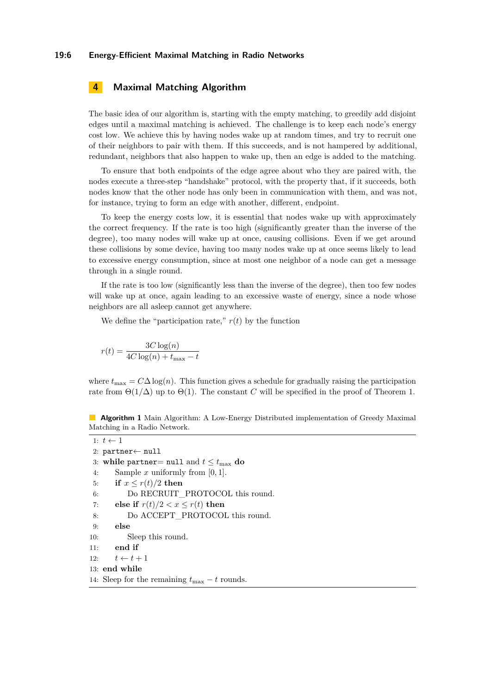# **4 Maximal Matching Algorithm**

The basic idea of our algorithm is, starting with the empty matching, to greedily add disjoint edges until a maximal matching is achieved. The challenge is to keep each node's energy cost low. We achieve this by having nodes wake up at random times, and try to recruit one of their neighbors to pair with them. If this succeeds, and is not hampered by additional, redundant, neighbors that also happen to wake up, then an edge is added to the matching.

To ensure that both endpoints of the edge agree about who they are paired with, the nodes execute a three-step "handshake" protocol, with the property that, if it succeeds, both nodes know that the other node has only been in communication with them, and was not, for instance, trying to form an edge with another, different, endpoint.

To keep the energy costs low, it is essential that nodes wake up with approximately the correct frequency. If the rate is too high (significantly greater than the inverse of the degree), too many nodes will wake up at once, causing collisions. Even if we get around these collisions by some device, having too many nodes wake up at once seems likely to lead to excessive energy consumption, since at most one neighbor of a node can get a message through in a single round.

If the rate is too low (significantly less than the inverse of the degree), then too few nodes will wake up at once, again leading to an excessive waste of energy, since a node whose neighbors are all asleep cannot get anywhere.

We define the "participation rate,"  $r(t)$  by the function

$$
r(t) = \frac{3C\log(n)}{4C\log(n) + t_{\max} - t}
$$

where  $t_{\text{max}} = C\Delta \log(n)$ . This function gives a schedule for gradually raising the participation rate from  $\Theta(1/\Delta)$  up to  $\Theta(1)$ . The constant *C* will be specified in the proof of Theorem [1.](#page-1-0)

<span id="page-5-0"></span>**Algorithm 1** Main Algorithm: A Low-Energy Distributed implementation of Greedy Maximal Matching in a Radio Network.

```
1: t \leftarrow 12: partner← null
3: while partner= null and t \leq t_{\text{max}} do
4: Sample x uniformly from [0, 1].
5: if x \leq r(t)/2 then
6: Do RECRUIT PROTOCOL this round.
7: else if r(t)/2 < x < r(t) then
8: Do ACCEPT PROTOCOL this round.
9: else
10: Sleep this round.
11: end if
12: t \leftarrow t + 113: end while
14: Sleep for the remaining t_{\text{max}} - t rounds.
```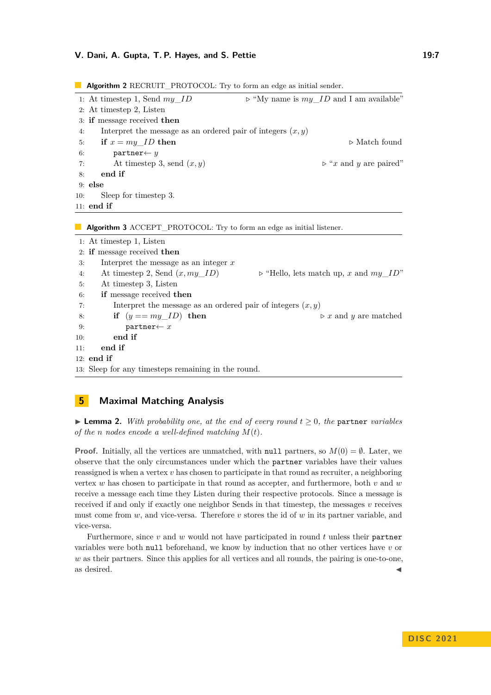### **V. Dani, A. Gupta, T. P. Hayes, and S. Pettie 19:7** 19:7

11: **end if**

10: Sleep for timestep 3.

|    | <b>Algorithm 2</b> RECRUIT_PROTOCOL: Try to form an edge as initial sender. |                                                        |  |
|----|-----------------------------------------------------------------------------|--------------------------------------------------------|--|
|    | 1: At timestep 1, Send $my$ ID                                              | $\triangleright$ "My name is my ID and I am available" |  |
|    | 2: At timestep 2, Listen                                                    |                                                        |  |
|    | 3: if message received then                                                 |                                                        |  |
| 4: | Interpret the message as an ordered pair of integers $(x, y)$               |                                                        |  |
| 5: | if $x = my$ <i>ID</i> then                                                  | $\triangleright$ Match found                           |  |
| 6: | $partner \leftarrow y$                                                      |                                                        |  |
| 7: | At timestep 3, send $(x, y)$                                                | $\triangleright$ "x and y are paired"                  |  |
| 8: | end if                                                                      |                                                        |  |
|    | $9:$ else                                                                   |                                                        |  |

**Algorithm 3** ACCEPT\_PROTOCOL: Try to form an edge as initial listener.

| 1: At timestep 1, Listen    |                                                               |                                                      |  |  |
|-----------------------------|---------------------------------------------------------------|------------------------------------------------------|--|--|
| 2: if message received then |                                                               |                                                      |  |  |
| 3:                          | Interpret the message as an integer $x$                       |                                                      |  |  |
| 4:                          | At timestep 2, Send $(x, my\_ID)$                             | $\triangleright$ "Hello, lets match up, x and my_ID" |  |  |
| 5:                          | At timestep 3, Listen                                         |                                                      |  |  |
| 6:                          | if message received then                                      |                                                      |  |  |
| 7:                          | Interpret the message as an ordered pair of integers $(x, y)$ |                                                      |  |  |
| 8:                          | if $(y == my\_ID)$ then                                       | $\triangleright x$ and y are matched                 |  |  |
| 9:                          | $partner \leftarrow x$                                        |                                                      |  |  |
| 10:                         | end if                                                        |                                                      |  |  |
| end if<br>11:               |                                                               |                                                      |  |  |
| $12:$ end if                |                                                               |                                                      |  |  |
|                             | 13: Sleep for any timesteps remaining in the round.           |                                                      |  |  |

# **5 Maximal Matching Analysis**

 $\triangleright$  **Lemma 2.** With probability one, at the end of every round  $t \geq 0$ , the partner *variables of the n nodes encode a well-defined matching M*(*t*)*.*

**Proof.** Initially, all the vertices are unmatched, with null partners, so  $M(0) = \emptyset$ . Later, we observe that the only circumstances under which the partner variables have their values reassigned is when a vertex *v* has chosen to participate in that round as recruiter, a neighboring vertex *w* has chosen to participate in that round as accepter, and furthermore, both *v* and *w* receive a message each time they Listen during their respective protocols. Since a message is received if and only if exactly one neighbor Sends in that timestep, the messages *v* receives must come from *w*, and vice-versa. Therefore *v* stores the id of *w* in its partner variable, and vice-versa.

<span id="page-6-0"></span>Furthermore, since *v* and *w* would not have participated in round *t* unless their partner variables were both null beforehand, we know by induction that no other vertices have *v* or *w* as their partners. Since this applies for all vertices and all rounds, the pairing is one-to-one, as desired.  $\blacktriangleleft$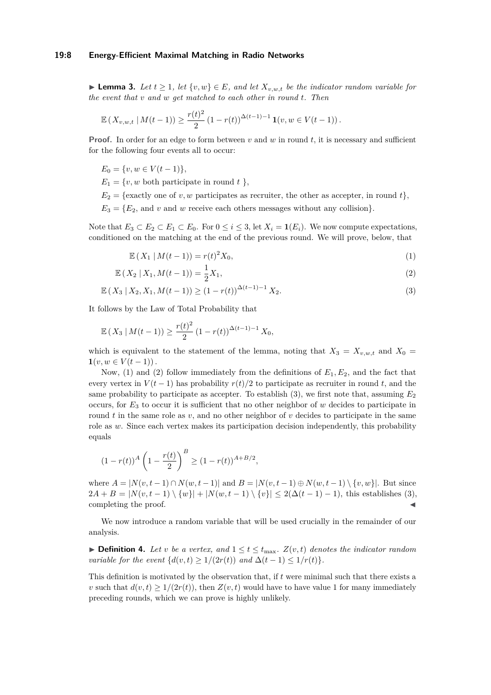#### **19:8 Energy-Efficient Maximal Matching in Radio Networks**

▶ **Lemma 3.** Let  $t \geq 1$ , let  $\{v, w\} \in E$ , and let  $X_{v,w,t}$  be the indicator random variable for *the event that v and w get matched to each other in round t. Then*

$$
\mathbb{E}\left(X_{v,w,t} \mid M(t-1)\right) \ge \frac{r(t)^2}{2} \left(1 - r(t)\right)^{\Delta(t-1)-1} \mathbf{1}(v, w \in V(t-1)).
$$

**Proof.** In order for an edge to form between *v* and *w* in round *t*, it is necessary and sufficient for the following four events all to occur:

$$
E_0 = \{v, w \in V(t-1)\},\
$$

 $E_1 = \{v, w \text{ both participate in round } t \}$ 

 $E_2 = \{\text{exactly one of } v, w \text{ participates as recurrence, the other as accepter, in round } t\},\$ 

 $E_3 = \{E_2, \text{ and } v \text{ and } w \text{ receive each others messages without any collision}\}.$ 

Note that  $E_3 \subset E_2 \subset E_1 \subset E_0$ . For  $0 \le i \le 3$ , let  $X_i = \mathbf{1}(E_i)$ . We now compute expectations, conditioned on the matching at the end of the previous round. We will prove, below, that

<span id="page-7-2"></span><span id="page-7-1"></span><span id="page-7-0"></span>
$$
\mathbb{E}(X_1 \, | \, M(t-1)) = r(t)^2 X_0,\tag{1}
$$

$$
\mathbb{E}\left(X_2 \mid X_1, M(t-1)\right) = \frac{1}{2}X_1,\tag{2}
$$

$$
\mathbb{E}\left(X_3 \mid X_2, X_1, M(t-1)\right) \ge (1 - r(t))^{\Delta(t-1)-1} X_2. \tag{3}
$$

It follows by the Law of Total Probability that

$$
\mathbb{E}\left(X_3 \mid M(t-1)\right) \ge \frac{r(t)^2}{2} \left(1 - r(t)\right)^{\Delta(t-1)-1} X_0,
$$

which is equivalent to the statement of the lemma, noting that  $X_3 = X_{v,w,t}$  and  $X_0 =$  $\mathbf{1}(v, w \in V(t-1))$ .

Now, [\(1\)](#page-7-0) and [\(2\)](#page-7-1) follow immediately from the definitions of  $E_1, E_2$ , and the fact that every vertex in  $V(t-1)$  has probability  $r(t)/2$  to participate as recruiter in round *t*, and the same probability to participate as accepter. To establish  $(3)$ , we first note that, assuming  $E_2$ occurs, for *E*<sup>3</sup> to occur it is sufficient that no other neighbor of *w* decides to participate in round  $t$  in the same role as  $v$ , and no other neighbor of  $v$  decides to participate in the same role as *w*. Since each vertex makes its participation decision independently, this probability equals

$$
(1 - r(t))^{A} \left(1 - \frac{r(t)}{2}\right)^{B} \ge (1 - r(t))^{A + B/2},
$$

where  $A = |N(v, t-1) \cap N(w, t-1)|$  and  $B = |N(v, t-1) \oplus N(w, t-1) \setminus \{v, w\}|$ . But since 2*A* + *B* =  $|N(v, t-1) \setminus \{w\}|$  +  $|N(w, t-1) \setminus \{v\}|$  < 2(∆(*t* − 1) − 1), this establishes [\(3\)](#page-7-2), completing the proof.

We now introduce a random variable that will be used crucially in the remainder of our analysis.

▶ **Definition 4.** Let *v* be a vertex, and  $1 \le t \le t_{\text{max}}$ .  $Z(v, t)$  denotes the indicator random *variable for the event*  $\{d(v,t) \geq 1/(2r(t)) \text{ and } \Delta(t-1) \leq 1/r(t)\}.$ 

<span id="page-7-3"></span>This definition is motivated by the observation that, if *t* were minimal such that there exists a *v* such that  $d(v, t) \geq 1/(2r(t))$ , then  $Z(v, t)$  would have to have value 1 for many immediately preceding rounds, which we can prove is highly unlikely.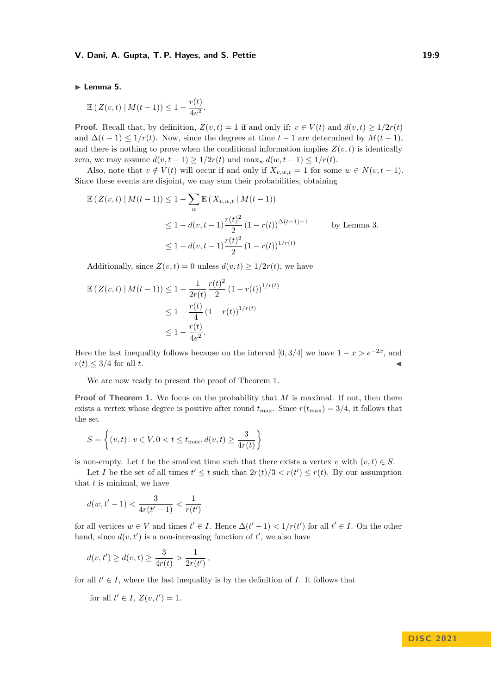### **V. Dani, A. Gupta, T. P. Hayes, and S. Pettie 19:9** 19:9

#### ▶ **Lemma 5.**

$$
\mathbb{E}\left(Z(v,t)\mid M(t-1)\right)\leq 1-\frac{r(t)}{4e^2}.
$$

**Proof.** Recall that, by definition,  $Z(v,t) = 1$  if and only if:  $v \in V(t)$  and  $d(v,t) > 1/2r(t)$ and  $\Delta(t-1) \leq 1/r(t)$ . Now, since the degrees at time  $t-1$  are determined by  $M(t-1)$ , and there is nothing to prove when the conditional information implies  $Z(v, t)$  is identically zero, we may assume  $d(v, t-1) \geq 1/2r(t)$  and  $\max_w d(w, t-1) \leq 1/r(t)$ .

Also, note that  $v \notin V(t)$  will occur if and only if  $X_{v,w,t} = 1$  for some  $w \in N(v,t-1)$ . Since these events are disjoint, we may sum their probabilities, obtaining

$$
\mathbb{E}\left(Z(v,t) \mid M(t-1)\right) \le 1 - \sum_{w} \mathbb{E}\left(X_{v,w,t} \mid M(t-1)\right)
$$
  
\n
$$
\le 1 - d(v,t-1)\frac{r(t)^2}{2} (1 - r(t))^{\Delta(t-1)-1} \qquad \text{by Lemma 3.}
$$
  
\n
$$
\le 1 - d(v,t-1)\frac{r(t)^2}{2} (1 - r(t))^{1/r(t)}
$$

Additionally, since  $Z(v, t) = 0$  unless  $d(v, t) \geq 1/2r(t)$ , we have

$$
\mathbb{E}\left(Z(v,t) \mid M(t-1)\right) \le 1 - \frac{1}{2r(t)} \frac{r(t)^2}{2} \left(1 - r(t)\right)^{1/r(t)}
$$
  

$$
\le 1 - \frac{r(t)}{4} \left(1 - r(t)\right)^{1/r(t)}
$$
  

$$
\le 1 - \frac{r(t)}{4e^2}.
$$

Here the last inequality follows because on the interval [0, 3/4] we have  $1 - x > e^{-2x}$ , and  $r(t) \leq 3/4$  for all *t*.

We are now ready to present the proof of Theorem [1.](#page-1-0)

**Proof of Theorem [1.](#page-1-0)** We focus on the probability that *M* is maximal. If not, then there exists a vertex whose degree is positive after round  $t_{\text{max}}$ . Since  $r(t_{\text{max}}) = 3/4$ , it follows that the set

$$
S = \left\{ (v, t) \colon v \in V, 0 < t \le t_{\max}, d(v, t) \ge \frac{3}{4r(t)} \right\}
$$

is non-empty. Let *t* be the smallest time such that there exists a vertex *v* with  $(v, t) \in S$ .

Let *I* be the set of all times  $t' \leq t$  such that  $2r(t)/3 < r(t') \leq r(t)$ . By our assumption that *t* is minimal, we have

$$
d(w, t'-1) < \frac{3}{4r(t'-1)} < \frac{1}{r(t')}
$$

for all vertices  $w \in V$  and times  $t' \in I$ . Hence  $\Delta(t'-1) < 1/r(t')$  for all  $t' \in I$ . On the other hand, since  $d(v, t')$  is a non-increasing function of  $t'$ , we also have

$$
d(v, t') \ge d(v, t) \ge \frac{3}{4r(t)} > \frac{1}{2r(t')},
$$

for all  $t' \in I$ , where the last inequality is by the definition of *I*. It follows that

for all 
$$
t' \in I
$$
,  $Z(v, t') = 1$ .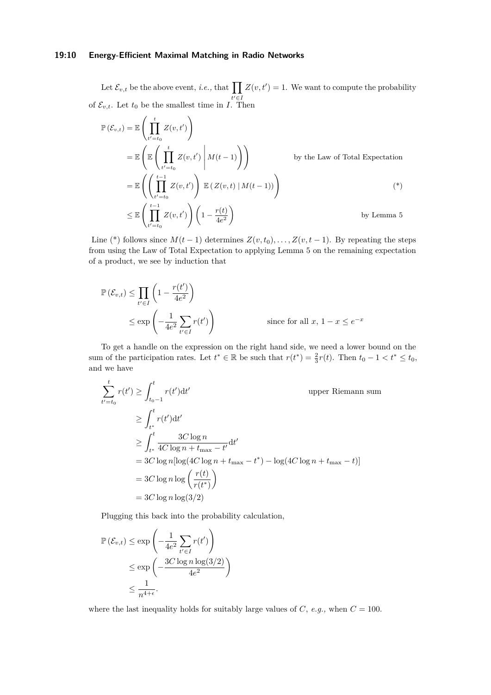### **19:10 Energy-Efficient Maximal Matching in Radio Networks**

Let  $\mathcal{E}_{v,t}$  be the above event, *i.e.*, that  $\prod$ *t* ′∈*I*  $Z(v, t') = 1$ . We want to compute the probability of  $\mathcal{E}_{v,t}$ . Let  $t_0$  be the smallest time in *I*. Then

$$
\mathbb{P}(\mathcal{E}_{v,t}) = \mathbb{E}\left(\prod_{t'=t_0}^{t} Z(v,t')\right)
$$
\n
$$
= \mathbb{E}\left(\mathbb{E}\left(\prod_{t'=t_0}^{t} Z(v,t') \middle| M(t-1)\right)\right)
$$
\nby the Law of Total Expectation\n
$$
= \mathbb{E}\left(\left(\prod_{t'=t_0}^{t-1} Z(v,t')\right) \mathbb{E}\left(Z(v,t) \middle| M(t-1)\right)\right)
$$
\n
$$
\leq \mathbb{E}\left(\prod_{t'=t_0}^{t-1} Z(v,t')\right) \left(1 - \frac{r(t)}{4e^2}\right)
$$
\nby Lemma 5

Line (\*) follows since  $M(t-1)$  determines  $Z(v,t_0), \ldots, Z(v,t-1)$ . By repeating the steps from using the Law of Total Expectation to applying Lemma [5](#page-7-3) on the remaining expectation of a product, we see by induction that

$$
\mathbb{P}(\mathcal{E}_{v,t}) \le \prod_{t' \in I} \left(1 - \frac{r(t')}{4e^2}\right)
$$
  
 
$$
\le \exp\left(-\frac{1}{4e^2} \sum_{t' \in I} r(t')\right) \qquad \text{since for all } x, 1 - x \le e^{-x}
$$

To get a handle on the expression on the right hand side, we need a lower bound on the sum of the participation rates. Let  $t^* \in \mathbb{R}$  be such that  $r(t^*) = \frac{2}{3}r(t)$ . Then  $t_0 - 1 < t^* \le t_0$ , and we have

$$
\sum_{t'=t_0}^{t} r(t') \ge \int_{t_0-1}^{t} r(t')dt'
$$
\nupper Riemann sum  
\n
$$
\ge \int_{t^*}^{t} r(t')dt'
$$
\n
$$
\ge \int_{t^*}^{t} \frac{3C \log n}{4C \log n + t_{\max} - t'}dt'
$$
\n
$$
= 3C \log n [\log(4C \log n + t_{\max} - t^*) - \log(4C \log n + t_{\max} - t)]
$$
\n
$$
= 3C \log n \log \left(\frac{r(t)}{r(t^*)}\right)
$$
\n
$$
= 3C \log n \log(3/2)
$$

Plugging this back into the probability calculation,

$$
\mathbb{P}(\mathcal{E}_{v,t}) \le \exp\left(-\frac{1}{4e^2} \sum_{t' \in I} r(t')\right)
$$
  
 
$$
\le \exp\left(-\frac{3C \log n \log(3/2)}{4e^2}\right)
$$
  
 
$$
\le \frac{1}{n^{4+\epsilon}}.
$$

where the last inequality holds for suitably large values of *C*, *e.g.*, when  $C = 100$ .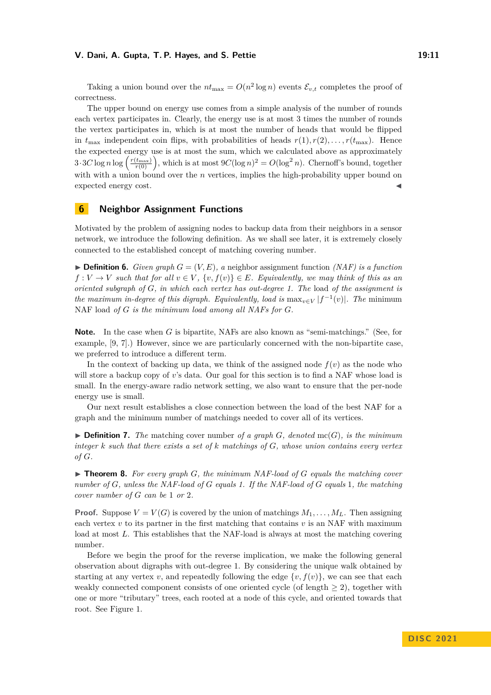#### **V. Dani, A. Gupta, T. P. Hayes, and S. Pettie 19:11**

Taking a union bound over the  $nt_{\text{max}} = O(n^2 \log n)$  events  $\mathcal{E}_{v,t}$  completes the proof of correctness.

The upper bound on energy use comes from a simple analysis of the number of rounds each vertex participates in. Clearly, the energy use is at most 3 times the number of rounds the vertex participates in, which is at most the number of heads that would be flipped in  $t_{\text{max}}$  independent coin flips, with probabilities of heads  $r(1), r(2), \ldots, r(t_{\text{max}})$ . Hence the expected energy use is at most the sum, which we calculated above as approximately  $3 \cdot 3C \log n \log \left( \frac{r(t_{\max})}{r(0)} \right)$ , which is at most  $9C(\log n)^2 = O(\log^2 n)$ . Chernoff's bound, together with with a union bound over the *n* vertices, implies the high-probability upper bound on expected energy cost.

# <span id="page-10-0"></span>**6 Neighbor Assignment Functions**

Motivated by the problem of assigning nodes to backup data from their neighbors in a sensor network, we introduce the following definition. As we shall see later, it is extremely closely connected to the established concept of matching covering number.

**• Definition 6.** *Given graph*  $G = (V, E)$ , a neighbor assignment function *(NAF) is a function*  $f: V \to V$  *such that for all*  $v \in V$ ,  $\{v, f(v)\} \in E$ *. Equivalently, we may think of this as an oriented subgraph of G, in which each vertex has out-degree 1. The* load *of the assignment is the maximum in-degree of this digraph. Equivalently, load is*  $\max_{v \in V} |f^{-1}(v)|$ . The minimum NAF load *of G is the minimum load among all NAFs for G.*

**Note.** In the case when *G* is bipartite, NAFs are also known as "semi-matchings." (See, for example, [\[9,](#page-13-11) [7\]](#page-13-12).) However, since we are particularly concerned with the non-bipartite case, we preferred to introduce a different term.

In the context of backing up data, we think of the assigned node  $f(v)$  as the node who will store a backup copy of *v*'s data. Our goal for this section is to find a NAF whose load is small. In the energy-aware radio network setting, we also want to ensure that the per-node energy use is small.

Our next result establishes a close connection between the load of the best NAF for a graph and the minimum number of matchings needed to cover all of its vertices.

 $\blacktriangleright$  **Definition 7.** The matching cover number of a graph *G*, denoted mc(*G*), is the minimum *integer k such that there exists a set of k matchings of G, whose union contains every vertex of G.*

<span id="page-10-1"></span>▶ **Theorem 8.** *For every graph G, the minimum NAF-load of G equals the matching cover number of G, unless the NAF-load of G equals 1. If the NAF-load of G equals* 1*, the matching cover number of G can be* 1 *or* 2*.*

**Proof.** Suppose  $V = V(G)$  is covered by the union of matchings  $M_1, \ldots, M_L$ . Then assigning each vertex  $v$  to its partner in the first matching that contains  $v$  is an NAF with maximum load at most L. This establishes that the NAF-load is always at most the matching covering number.

Before we begin the proof for the reverse implication, we make the following general observation about digraphs with out-degree 1. By considering the unique walk obtained by starting at any vertex *v*, and repeatedly following the edge  $\{v, f(v)\}\)$ , we can see that each weakly connected component consists of one oriented cycle (of length  $\geq$  2), together with one or more "tributary" trees, each rooted at a node of this cycle, and oriented towards that root. See Figure [1.](#page-11-0)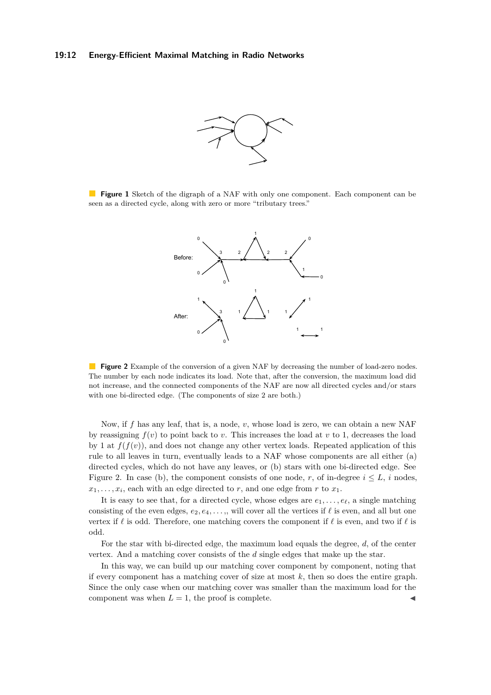#### <span id="page-11-0"></span>**19:12 Energy-Efficient Maximal Matching in Radio Networks**



<span id="page-11-1"></span>**Figure 1** Sketch of the digraph of a NAF with only one component. Each component can be seen as a directed cycle, along with zero or more "tributary trees."



**Figure 2** Example of the conversion of a given NAF by decreasing the number of load-zero nodes. The number by each node indicates its load. Note that, after the conversion, the maximum load did not increase, and the connected components of the NAF are now all directed cycles and/or stars with one bi-directed edge. (The components of size 2 are both.)

Now, if *f* has any leaf, that is, a node, *v*, whose load is zero, we can obtain a new NAF by reassigning  $f(v)$  to point back to *v*. This increases the load at *v* to 1, decreases the load by 1 at  $f(f(v))$ , and does not change any other vertex loads. Repeated application of this rule to all leaves in turn, eventually leads to a NAF whose components are all either (a) directed cycles, which do not have any leaves, or (b) stars with one bi-directed edge. See Figure [2.](#page-11-1) In case (b), the component consists of one node, *r*, of in-degree  $i \leq L$ , *i* nodes,  $x_1, \ldots, x_i$ , each with an edge directed to *r*, and one edge from *r* to  $x_1$ .

It is easy to see that, for a directed cycle, whose edges are  $e_1, \ldots, e_\ell$ , a single matching consisting of the even edges,  $e_2, e_4, \ldots$ ,, will cover all the vertices if  $\ell$  is even, and all but one vertex if *ℓ* is odd. Therefore, one matching covers the component if *ℓ* is even, and two if *ℓ* is odd.

For the star with bi-directed edge, the maximum load equals the degree, *d*, of the center vertex. And a matching cover consists of the *d* single edges that make up the star.

In this way, we can build up our matching cover component by component, noting that if every component has a matching cover of size at most *k*, then so does the entire graph. Since the only case when our matching cover was smaller than the maximum load for the component was when  $L = 1$ , the proof is complete.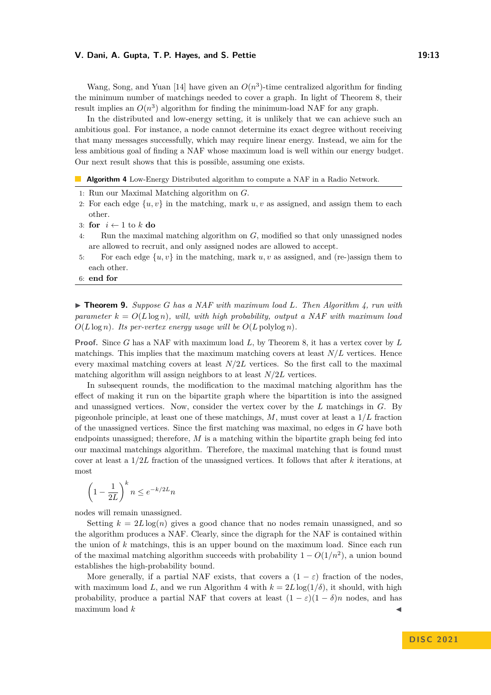### **V. Dani, A. Gupta, T. P. Hayes, and S. Pettie 19:13**

Wang, Song, and Yuan [\[14\]](#page-13-13) have given an  $O(n^3)$ -time centralized algorithm for finding the minimum number of matchings needed to cover a graph. In light of Theorem [8,](#page-10-1) their result implies an  $O(n^3)$  algorithm for finding the minimum-load NAF for any graph.

In the distributed and low-energy setting, it is unlikely that we can achieve such an ambitious goal. For instance, a node cannot determine its exact degree without receiving that many messages successfully, which may require linear energy. Instead, we aim for the less ambitious goal of finding a NAF whose maximum load is well within our energy budget. Our next result shows that this is possible, assuming one exists.

<span id="page-12-0"></span>**Algorithm 4** Low-Energy Distributed algorithm to compute a NAF in a Radio Network.

- 1: Run our Maximal Matching algorithm on *G*.
- 2: For each edge  $\{u, v\}$  in the matching, mark  $u, v$  as assigned, and assign them to each other.
- 3: **for** *i* ← 1 to *k* **do**
- 4: Run the maximal matching algorithm on *G*, modified so that only unassigned nodes are allowed to recruit, and only assigned nodes are allowed to accept.
- 5: For each edge  $\{u, v\}$  in the matching, mark  $u, v$  as assigned, and (re-)assign them to each other.
- 6: **end for**

▶ **Theorem 9.** *Suppose G has a NAF with maximum load L. Then Algorithm [4,](#page-12-0) run with parameter*  $k = O(L \log n)$ *, will, with high probability, output a NAF with maximum load*  $O(L \log n)$ *. Its per-vertex energy usage will be*  $O(L \text{ polylog } n)$ *.* 

**Proof.** Since *G* has a NAF with maximum load *L*, by Theorem [8,](#page-10-1) it has a vertex cover by *L* matchings. This implies that the maximum matching covers at least  $N/L$  vertices. Hence every maximal matching covers at least *N/*2*L* vertices. So the first call to the maximal matching algorithm will assign neighbors to at least *N/*2*L* vertices.

In subsequent rounds, the modification to the maximal matching algorithm has the effect of making it run on the bipartite graph where the bipartition is into the assigned and unassigned vertices. Now, consider the vertex cover by the *L* matchings in *G*. By pigeonhole principle, at least one of these matchings, *M*, must cover at least a 1*/L* fraction of the unassigned vertices. Since the first matching was maximal, no edges in *G* have both endpoints unassigned; therefore, *M* is a matching within the bipartite graph being fed into our maximal matchings algorithm. Therefore, the maximal matching that is found must cover at least a 1*/*2*L* fraction of the unassigned vertices. It follows that after *k* iterations, at most

$$
\left(1 - \frac{1}{2L}\right)^k n \le e^{-k/2L}n
$$

nodes will remain unassigned.

Setting  $k = 2L \log(n)$  gives a good chance that no nodes remain unassigned, and so the algorithm produces a NAF. Clearly, since the digraph for the NAF is contained within the union of *k* matchings, this is an upper bound on the maximum load. Since each run of the maximal matching algorithm succeeds with probability  $1 - O(1/n^2)$ , a union bound establishes the high-probability bound.

More generally, if a partial NAF exists, that covers a  $(1 - \varepsilon)$  fraction of the nodes, with maximum load *L*, and we run Algorithm [4](#page-12-0) with  $k = 2L \log(1/\delta)$ , it should, with high probability, produce a partial NAF that covers at least  $(1 - \varepsilon)(1 - \delta)n$  nodes, and has  $maximum$  load  $k$